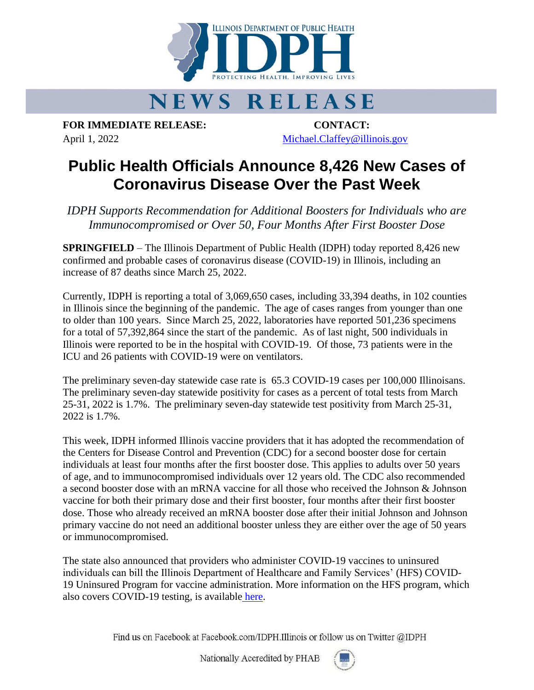

## **NEWS RELEASE**

**FOR IMMEDIATE RELEASE: CONTACT:** April 1, 2022 [Michael.Claffey@illinois.gov](mailto:Michael.Claffey@illinois.gov)

## **Public Health Officials Announce 8,426 New Cases of Coronavirus Disease Over the Past Week**

*IDPH Supports Recommendation for Additional Boosters for Individuals who are Immunocompromised or Over 50, Four Months After First Booster Dose*

**SPRINGFIELD** – The Illinois Department of Public Health (IDPH) today reported 8,426 new confirmed and probable cases of coronavirus disease (COVID-19) in Illinois, including an increase of 87 deaths since March 25, 2022.

Currently, IDPH is reporting a total of 3,069,650 cases, including 33,394 deaths, in 102 counties in Illinois since the beginning of the pandemic. The age of cases ranges from younger than one to older than 100 years. Since March 25, 2022, laboratories have reported 501,236 specimens for a total of 57,392,864 since the start of the pandemic. As of last night, 500 individuals in Illinois were reported to be in the hospital with COVID-19. Of those, 73 patients were in the ICU and 26 patients with COVID-19 were on ventilators.

The preliminary seven-day statewide case rate is 65.3 COVID-19 cases per 100,000 Illinoisans. The preliminary seven-day statewide positivity for cases as a percent of total tests from March 25-31, 2022 is 1.7%. The preliminary seven-day statewide test positivity from March 25-31, 2022 is 1.7%.

This week, IDPH informed Illinois vaccine providers that it has adopted the recommendation of the Centers for Disease Control and Prevention (CDC) for a second booster dose for certain individuals at least four months after the first booster dose. This applies to adults over 50 years of age, and to immunocompromised individuals over 12 years old. The CDC also recommended a second booster dose with an mRNA vaccine for all those who received the Johnson & Johnson vaccine for both their primary dose and their first booster, four months after their first booster dose. Those who already received an mRNA booster dose after their initial Johnson and Johnson primary vaccine do not need an additional booster unless they are either over the age of 50 years or immunocompromised.

The state also announced that providers who administer COVID-19 vaccines to uninsured individuals can bill the Illinois Department of Healthcare and Family Services' (HFS) COVID-19 Uninsured Program for vaccine administration. More information on the HFS program, which also covers COVID-19 testing, is available [here.](https://www2.illinois.gov/hfs/MedicalProviders/notices/Pages/prn220322a.aspx)

Find us on Facebook at Facebook.com/IDPH.Illinois or follow us on Twitter @IDPH

Nationally Accredited by PHAB